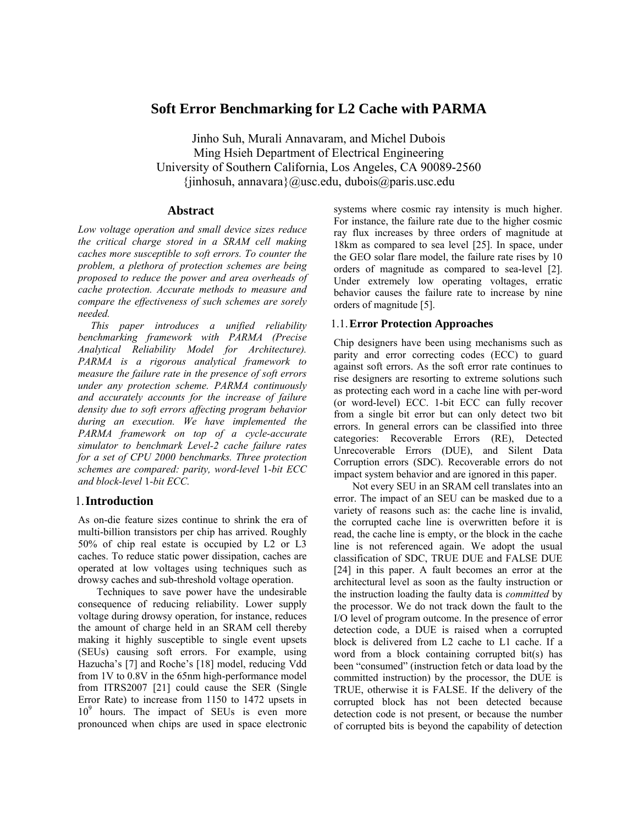# **Soft Error Benchmarking for L2 Cache with PARMA**

Jinho Suh, Murali Annavaram, and Michel Dubois Ming Hsieh Department of Electrical Engineering University of Southern California, Los Angeles, CA 90089-2560  $\{jinhosuh, annavara\}$ @usc.edu, dubois@paris.usc.edu

### **Abstract**

*Low voltage operation and small device sizes reduce the critical charge stored in a SRAM cell making caches more susceptible to soft errors. To counter the problem, a plethora of protection schemes are being proposed to reduce the power and area overheads of cache protection. Accurate methods to measure and compare the effectiveness of such schemes are sorely needed.* 

*This paper introduces a unified reliability benchmarking framework with PARMA (Precise Analytical Reliability Model for Architecture). PARMA is a rigorous analytical framework to measure the failure rate in the presence of soft errors under any protection scheme. PARMA continuously and accurately accounts for the increase of failure density due to soft errors affecting program behavior during an execution. We have implemented the PARMA framework on top of a cycle-accurate simulator to benchmark Level-2 cache failure rates for a set of CPU 2000 benchmarks. Three protection schemes are compared: parity, word-level* 1*-bit ECC and block-level* 1*-bit ECC.* 

### 1.**Introduction**

As on-die feature sizes continue to shrink the era of multi-billion transistors per chip has arrived. Roughly 50% of chip real estate is occupied by L2 or L3 caches. To reduce static power dissipation, caches are operated at low voltages using techniques such as drowsy caches and sub-threshold voltage operation.

Techniques to save power have the undesirable consequence of reducing reliability. Lower supply voltage during drowsy operation, for instance, reduces the amount of charge held in an SRAM cell thereby making it highly susceptible to single event upsets (SEUs) causing soft errors. For example, using Hazucha's [7] and Roche's [18] model, reducing Vdd from 1V to 0.8V in the 65nm high-performance model from ITRS2007 [21] could cause the SER (Single Error Rate) to increase from 1150 to 1472 upsets in 10<sup>9</sup> hours. The impact of SEUs is even more pronounced when chips are used in space electronic systems where cosmic ray intensity is much higher. For instance, the failure rate due to the higher cosmic ray flux increases by three orders of magnitude at 18km as compared to sea level [25]. In space, under the GEO solar flare model, the failure rate rises by 10 orders of magnitude as compared to sea-level [2]. Under extremely low operating voltages, erratic behavior causes the failure rate to increase by nine orders of magnitude [5].

### 1.1.**Error Protection Approaches**

Chip designers have been using mechanisms such as parity and error correcting codes (ECC) to guard against soft errors. As the soft error rate continues to rise designers are resorting to extreme solutions such as protecting each word in a cache line with per-word (or word-level) ECC. 1-bit ECC can fully recover from a single bit error but can only detect two bit errors. In general errors can be classified into three categories: Recoverable Errors (RE), Detected Unrecoverable Errors (DUE), and Silent Data Corruption errors (SDC). Recoverable errors do not impact system behavior and are ignored in this paper.

Not every SEU in an SRAM cell translates into an error. The impact of an SEU can be masked due to a variety of reasons such as: the cache line is invalid, the corrupted cache line is overwritten before it is read, the cache line is empty, or the block in the cache line is not referenced again. We adopt the usual classification of SDC, TRUE DUE and FALSE DUE [24] in this paper. A fault becomes an error at the architectural level as soon as the faulty instruction or the instruction loading the faulty data is *committed* by the processor. We do not track down the fault to the I/O level of program outcome. In the presence of error detection code, a DUE is raised when a corrupted block is delivered from L2 cache to L1 cache. If a word from a block containing corrupted bit(s) has been "consumed" (instruction fetch or data load by the committed instruction) by the processor, the DUE is TRUE, otherwise it is FALSE. If the delivery of the corrupted block has not been detected because detection code is not present, or because the number of corrupted bits is beyond the capability of detection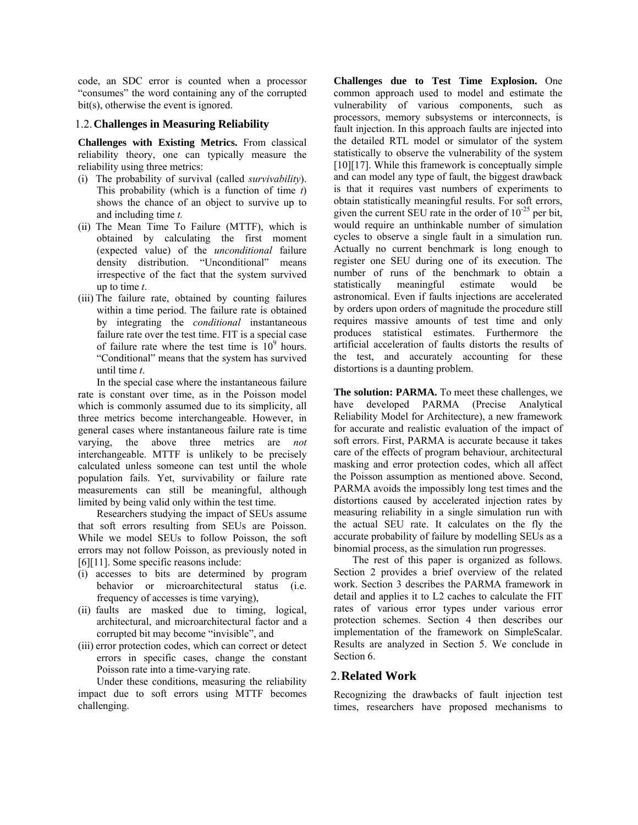code, an SDC error is counted when a processor "consumes" the word containing any of the corrupted bit(s), otherwise the event is ignored.

#### 1.2.**Challenges in Measuring Reliability**

**Challenges with Existing Metrics.** From classical reliability theory, one can typically measure the reliability using three metrics:

- (i) The probability of survival (called *survivability*). This probability (which is a function of time *t*) shows the chance of an object to survive up to and including time *t.*
- (ii) The Mean Time To Failure (MTTF), which is obtained by calculating the first moment (expected value) of the *unconditional* failure density distribution. "Unconditional" means irrespective of the fact that the system survived up to time *t*.
- (iii) The failure rate, obtained by counting failures within a time period. The failure rate is obtained by integrating the *conditional* instantaneous failure rate over the test time. FIT is a special case of failure rate where the test time is  $10^9$  hours. "Conditional" means that the system has survived until time *t*.

In the special case where the instantaneous failure rate is constant over time, as in the Poisson model which is commonly assumed due to its simplicity, all three metrics become interchangeable. However, in general cases where instantaneous failure rate is time varying, the above three metrics are *not* interchangeable. MTTF is unlikely to be precisely calculated unless someone can test until the whole population fails. Yet, survivability or failure rate measurements can still be meaningful, although limited by being valid only within the test time.

Researchers studying the impact of SEUs assume that soft errors resulting from SEUs are Poisson. While we model SEUs to follow Poisson, the soft errors may not follow Poisson, as previously noted in [6][11]. Some specific reasons include:

- (i) accesses to bits are determined by program behavior or microarchitectural status (i.e. frequency of accesses is time varying),
- (ii) faults are masked due to timing, logical, architectural, and microarchitectural factor and a corrupted bit may become "invisible", and
- (iii) error protection codes, which can correct or detect errors in specific cases, change the constant Poisson rate into a time-varying rate.

Under these conditions, measuring the reliability impact due to soft errors using MTTF becomes challenging.

**Challenges due to Test Time Explosion.** One common approach used to model and estimate the vulnerability of various components, such as processors, memory subsystems or interconnects, is fault injection. In this approach faults are injected into the detailed RTL model or simulator of the system statistically to observe the vulnerability of the system [10][17]. While this framework is conceptually simple and can model any type of fault, the biggest drawback is that it requires vast numbers of experiments to obtain statistically meaningful results. For soft errors, given the current SEU rate in the order of  $10^{-25}$  per bit, would require an unthinkable number of simulation cycles to observe a single fault in a simulation run. Actually no current benchmark is long enough to register one SEU during one of its execution. The number of runs of the benchmark to obtain a statistically meaningful estimate would be astronomical. Even if faults injections are accelerated by orders upon orders of magnitude the procedure still requires massive amounts of test time and only produces statistical estimates. Furthermore the artificial acceleration of faults distorts the results of the test, and accurately accounting for these distortions is a daunting problem.

**The solution: PARMA.** To meet these challenges, we have developed PARMA (Precise Analytical Reliability Model for Architecture), a new framework for accurate and realistic evaluation of the impact of soft errors. First, PARMA is accurate because it takes care of the effects of program behaviour, architectural masking and error protection codes, which all affect the Poisson assumption as mentioned above. Second, PARMA avoids the impossibly long test times and the distortions caused by accelerated injection rates by measuring reliability in a single simulation run with the actual SEU rate. It calculates on the fly the accurate probability of failure by modelling SEUs as a binomial process, as the simulation run progresses.

The rest of this paper is organized as follows. Section 2 provides a brief overview of the related work. Section 3 describes the PARMA framework in detail and applies it to L2 caches to calculate the FIT rates of various error types under various error protection schemes. Section 4 then describes our implementation of the framework on SimpleScalar. Results are analyzed in Section 5. We conclude in Section 6.

## 2.**Related Work**

Recognizing the drawbacks of fault injection test times, researchers have proposed mechanisms to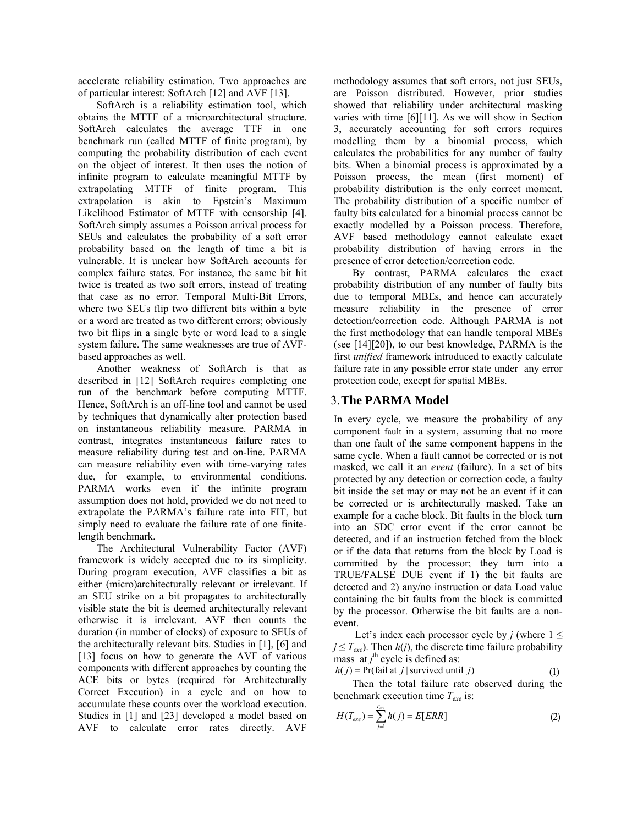accelerate reliability estimation. Two approaches are of particular interest: SoftArch [12] and AVF [13].

SoftArch is a reliability estimation tool, which obtains the MTTF of a microarchitectural structure. SoftArch calculates the average TTF in one benchmark run (called MTTF of finite program), by computing the probability distribution of each event on the object of interest. It then uses the notion of infinite program to calculate meaningful MTTF by extrapolating MTTF of finite program. This extrapolation is akin to Epstein's Maximum Likelihood Estimator of MTTF with censorship [4]. SoftArch simply assumes a Poisson arrival process for SEUs and calculates the probability of a soft error probability based on the length of time a bit is vulnerable. It is unclear how SoftArch accounts for complex failure states. For instance, the same bit hit twice is treated as two soft errors, instead of treating that case as no error. Temporal Multi-Bit Errors, where two SEUs flip two different bits within a byte or a word are treated as two different errors; obviously two bit flips in a single byte or word lead to a single system failure. The same weaknesses are true of AVFbased approaches as well.

Another weakness of SoftArch is that as described in [12] SoftArch requires completing one run of the benchmark before computing MTTF. Hence, SoftArch is an off-line tool and cannot be used by techniques that dynamically alter protection based on instantaneous reliability measure. PARMA in contrast, integrates instantaneous failure rates to measure reliability during test and on-line. PARMA can measure reliability even with time-varying rates due, for example, to environmental conditions. PARMA works even if the infinite program assumption does not hold, provided we do not need to extrapolate the PARMA's failure rate into FIT, but simply need to evaluate the failure rate of one finitelength benchmark.

The Architectural Vulnerability Factor (AVF) framework is widely accepted due to its simplicity. During program execution, AVF classifies a bit as either (micro)architecturally relevant or irrelevant. If an SEU strike on a bit propagates to architecturally visible state the bit is deemed architecturally relevant otherwise it is irrelevant. AVF then counts the duration (in number of clocks) of exposure to SEUs of the architecturally relevant bits. Studies in [1], [6] and [13] focus on how to generate the AVF of various components with different approaches by counting the ACE bits or bytes (required for Architecturally Correct Execution) in a cycle and on how to accumulate these counts over the workload execution. Studies in [1] and [23] developed a model based on AVF to calculate error rates directly. AVF

methodology assumes that soft errors, not just SEUs, are Poisson distributed. However, prior studies showed that reliability under architectural masking varies with time [6][11]. As we will show in Section 3, accurately accounting for soft errors requires modelling them by a binomial process, which calculates the probabilities for any number of faulty bits. When a binomial process is approximated by a Poisson process, the mean (first moment) of probability distribution is the only correct moment. The probability distribution of a specific number of faulty bits calculated for a binomial process cannot be exactly modelled by a Poisson process. Therefore, AVF based methodology cannot calculate exact probability distribution of having errors in the presence of error detection/correction code.

By contrast, PARMA calculates the exact probability distribution of any number of faulty bits due to temporal MBEs, and hence can accurately measure reliability in the presence of error detection/correction code. Although PARMA is not the first methodology that can handle temporal MBEs (see [14][20]), to our best knowledge, PARMA is the first *unified* framework introduced to exactly calculate failure rate in any possible error state under any error protection code, except for spatial MBEs.

## 3.**The PARMA Model**

In every cycle, we measure the probability of any component fault in a system, assuming that no more than one fault of the same component happens in the same cycle. When a fault cannot be corrected or is not masked, we call it an *event* (failure). In a set of bits protected by any detection or correction code, a faulty bit inside the set may or may not be an event if it can be corrected or is architecturally masked. Take an example for a cache block. Bit faults in the block turn into an SDC error event if the error cannot be detected, and if an instruction fetched from the block or if the data that returns from the block by Load is committed by the processor; they turn into a TRUE/FALSE DUE event if 1) the bit faults are detected and 2) any/no instruction or data Load value containing the bit faults from the block is committed by the processor. Otherwise the bit faults are a nonevent.

Let's index each processor cycle by *j* (where  $1 \le$  $j \leq T_{\text{exe}}$ ). Then  $h(j)$ , the discrete time failure probability mass  $at j<sup>th</sup> cycle$  is defined as:

 $h(j) = Pr(fail at j | survived until j)$  (1) Then the total failure rate observed during the benchmark execution time *Texe* is:

$$
H(T_{exe}) = \sum_{j=1}^{T_{exe}} h(j) = E[ERR]
$$
 (2)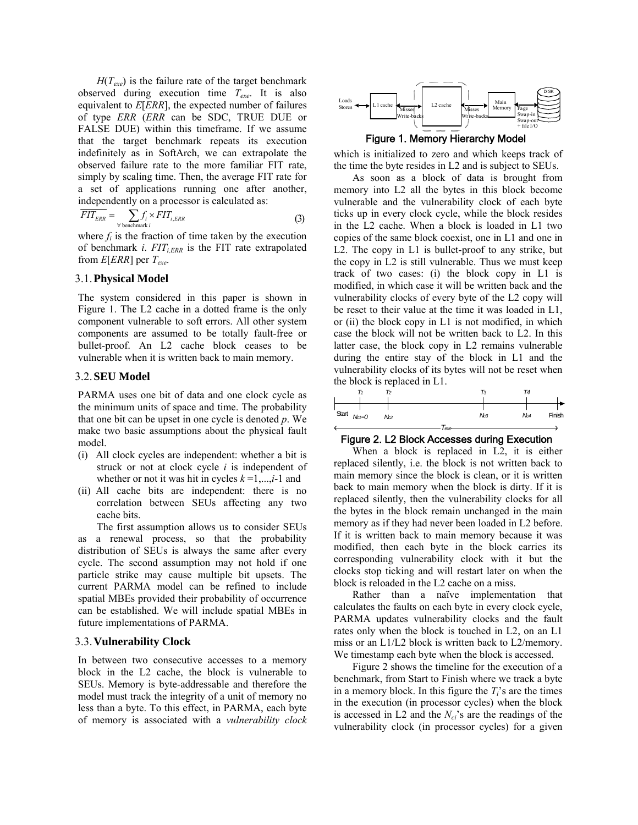$H(T_{\text{exe}})$  is the failure rate of the target benchmark observed during execution time *Texe*. It is also equivalent to *E*[*ERR*], the expected number of failures of type *ERR* (*ERR* can be SDC, TRUE DUE or FALSE DUE) within this timeframe. If we assume that the target benchmark repeats its execution indefinitely as in SoftArch, we can extrapolate the observed failure rate to the more familiar FIT rate, simply by scaling time. Then, the average FIT rate for a set of applications running one after another, independently on a processor is calculated as:

$$
\overline{FIT_{ERR}} = \sum_{\forall \text{ benchmark } i} f_i \times FIT_{i,ERR}
$$
 (3)

where  $f_i$  is the fraction of time taken by the execution of benchmark *i*.  $FIT_{i,ERR}$  is the FIT rate extrapolated from  $E[ERR]$  per  $T_{exe}$ .

#### 3.1.**Physical Model**

The system considered in this paper is shown in Figure 1. The L2 cache in a dotted frame is the only component vulnerable to soft errors. All other system components are assumed to be totally fault-free or bullet-proof. An L2 cache block ceases to be vulnerable when it is written back to main memory.

### 3.2.**SEU Model**

PARMA uses one bit of data and one clock cycle as the minimum units of space and time. The probability that one bit can be upset in one cycle is denoted *p*. We make two basic assumptions about the physical fault model.

- (i) All clock cycles are independent: whether a bit is struck or not at clock cycle *i* is independent of whether or not it was hit in cycles  $k=1,\dots,i-1$  and
- (ii) All cache bits are independent: there is no correlation between SEUs affecting any two cache bits.

The first assumption allows us to consider SEUs as a renewal process, so that the probability distribution of SEUs is always the same after every cycle. The second assumption may not hold if one particle strike may cause multiple bit upsets. The current PARMA model can be refined to include spatial MBEs provided their probability of occurrence can be established. We will include spatial MBEs in future implementations of PARMA.

### 3.3.**Vulnerability Clock**

In between two consecutive accesses to a memory block in the L2 cache, the block is vulnerable to SEUs. Memory is byte-addressable and therefore the model must track the integrity of a unit of memory no less than a byte. To this effect, in PARMA, each byte of memory is associated with a *vulnerability clock*



Figure 1. Memory Hierarchy Model

which is initialized to zero and which keeps track of the time the byte resides in L2 and is subject to SEUs.

As soon as a block of data is brought from memory into L2 all the bytes in this block become vulnerable and the vulnerability clock of each byte ticks up in every clock cycle, while the block resides in the L2 cache. When a block is loaded in L1 two copies of the same block coexist, one in L1 and one in L2. The copy in L1 is bullet-proof to any strike, but the copy in L2 is still vulnerable. Thus we must keep track of two cases: (i) the block copy in L1 is modified, in which case it will be written back and the vulnerability clocks of every byte of the L2 copy will be reset to their value at the time it was loaded in L1, or (ii) the block copy in L1 is not modified, in which case the block will not be written back to L2. In this latter case, the block copy in L2 remains vulnerable during the entire stay of the block in L1 and the vulnerability clocks of its bytes will not be reset when the block is replaced in L1.

| Tз              | T4              |        |
|-----------------|-----------------|--------|
|                 |                 |        |
|                 |                 |        |
| N <sub>c3</sub> | No <sub>4</sub> | Finish |
|                 |                 |        |
|                 | lexe            |        |

#### Figure 2. L2 Block Accesses during Execution

When a block is replaced in L2, it is either replaced silently, i.e. the block is not written back to main memory since the block is clean, or it is written back to main memory when the block is dirty. If it is replaced silently, then the vulnerability clocks for all the bytes in the block remain unchanged in the main memory as if they had never been loaded in L2 before. If it is written back to main memory because it was modified, then each byte in the block carries its corresponding vulnerability clock with it but the clocks stop ticking and will restart later on when the block is reloaded in the L2 cache on a miss.

Rather than a naïve implementation that calculates the faults on each byte in every clock cycle, PARMA updates vulnerability clocks and the fault rates only when the block is touched in L2, on an L1 miss or an L1/L2 block is written back to L2/memory. We timestamp each byte when the block is accessed.

Figure 2 shows the timeline for the execution of a benchmark, from Start to Finish where we track a byte in a memory block. In this figure the  $T_i$ 's are the times in the execution (in processor cycles) when the block is accessed in  $L2$  and the  $N_{ci}$ 's are the readings of the vulnerability clock (in processor cycles) for a given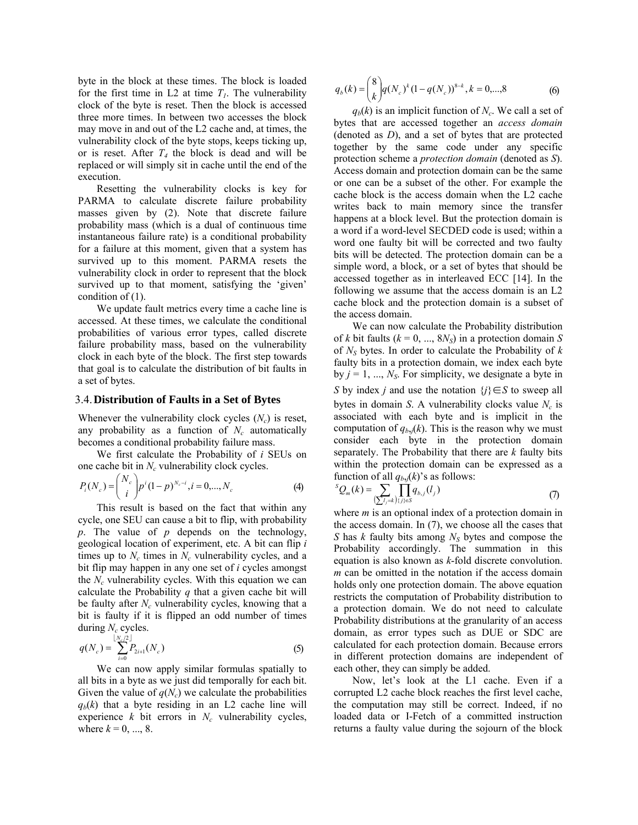byte in the block at these times. The block is loaded for the first time in L2 at time  $T_l$ . The vulnerability clock of the byte is reset. Then the block is accessed three more times. In between two accesses the block may move in and out of the L2 cache and, at times, the vulnerability clock of the byte stops, keeps ticking up, or is reset. After  $T_4$  the block is dead and will be replaced or will simply sit in cache until the end of the execution.

Resetting the vulnerability clocks is key for PARMA to calculate discrete failure probability masses given by (2). Note that discrete failure probability mass (which is a dual of continuous time instantaneous failure rate) is a conditional probability for a failure at this moment, given that a system has survived up to this moment. PARMA resets the vulnerability clock in order to represent that the block survived up to that moment, satisfying the 'given' condition of (1).

We update fault metrics every time a cache line is accessed. At these times, we calculate the conditional probabilities of various error types, called discrete failure probability mass, based on the vulnerability clock in each byte of the block. The first step towards that goal is to calculate the distribution of bit faults in a set of bytes.

#### 3.4.**Distribution of Faults in a Set of Bytes**

Whenever the vulnerability clock cycles  $(N_c)$  is reset, any probability as a function of  $N_c$  automatically becomes a conditional probability failure mass.

We first calculate the Probability of *i* SEUs on one cache bit in  $N_c$  vulnerability clock cycles.

$$
P_i(N_c) = {N_c \choose i} p^i (1-p)^{N_c-i}, i = 0,...,N_c
$$
 (4)

This result is based on the fact that within any cycle, one SEU can cause a bit to flip, with probability *p*. The value of *p* depends on the technology, geological location of experiment, etc. A bit can flip *i* times up to  $N_c$  times in  $N_c$  vulnerability cycles, and a bit flip may happen in any one set of *i* cycles amongst the  $N_c$  vulnerability cycles. With this equation we can calculate the Probability *q* that a given cache bit will be faulty after *N<sub>c</sub>* vulnerability cycles, knowing that a bit is faulty if it is flipped an odd number of times during  $N_c$  cycles.

$$
q(N_c) = \sum_{i=0}^{\lfloor N_c/2 \rfloor} P_{2i+1}(N_c)
$$
 (5)

We can now apply similar formulas spatially to all bits in a byte as we just did temporally for each bit. Given the value of  $q(N_c)$  we calculate the probabilities  $q_b(k)$  that a byte residing in an L2 cache line will experience  $k$  bit errors in  $N_c$  vulnerability cycles, where  $k = 0, ..., 8$ .

$$
q_b(k) = \binom{8}{k} q(N_c)^k (1 - q(N_c))^{8-k}, k = 0, \dots, 8
$$
 (6)

 $q_b(k)$  is an implicit function of  $N_c$ . We call a set of bytes that are accessed together an *access domain*  (denoted as *D*), and a set of bytes that are protected together by the same code under any specific protection scheme a *protection domain* (denoted as *S*). Access domain and protection domain can be the same or one can be a subset of the other. For example the cache block is the access domain when the L2 cache writes back to main memory since the transfer happens at a block level. But the protection domain is a word if a word-level SECDED code is used; within a word one faulty bit will be corrected and two faulty bits will be detected. The protection domain can be a simple word, a block, or a set of bytes that should be accessed together as in interleaved ECC [14]. In the following we assume that the access domain is an L2 cache block and the protection domain is a subset of the access domain.

We can now calculate the Probability distribution of *k* bit faults ( $k = 0, ..., 8N<sub>S</sub>$ ) in a protection domain *S* of *NS* bytes. In order to calculate the Probability of *k* faulty bits in a protection domain, we index each byte by  $j = 1, ..., N<sub>S</sub>$ . For simplicity, we designate a byte in *S* by index *j* and use the notation {*j*}∈*S* to sweep all bytes in domain *S*. A vulnerability clocks value  $N_c$  is associated with each byte and is implicit in the computation of  $q_{b,j}(k)$ . This is the reason why we must consider each byte in the protection domain separately. The Probability that there are *k* faulty bits within the protection domain can be expressed as a function of all  $q_{b,i}(k)$ 's as follows:

$$
SQ_m(k) = \sum_{\sum_{j=1}^{J} j} \prod_{j \in S} q_{b,j}(l_j)
$$
 (7)

where *m* is an optional index of a protection domain in the access domain. In (7), we choose all the cases that *S* has *k* faulty bits among *N<sub>S</sub>* bytes and compose the Probability accordingly. The summation in this equation is also known as *k*-fold discrete convolution. *m* can be omitted in the notation if the access domain holds only one protection domain. The above equation restricts the computation of Probability distribution to a protection domain. We do not need to calculate Probability distributions at the granularity of an access domain, as error types such as DUE or SDC are calculated for each protection domain. Because errors in different protection domains are independent of each other, they can simply be added.

Now, let's look at the L1 cache. Even if a corrupted L2 cache block reaches the first level cache, the computation may still be correct. Indeed, if no loaded data or I-Fetch of a committed instruction returns a faulty value during the sojourn of the block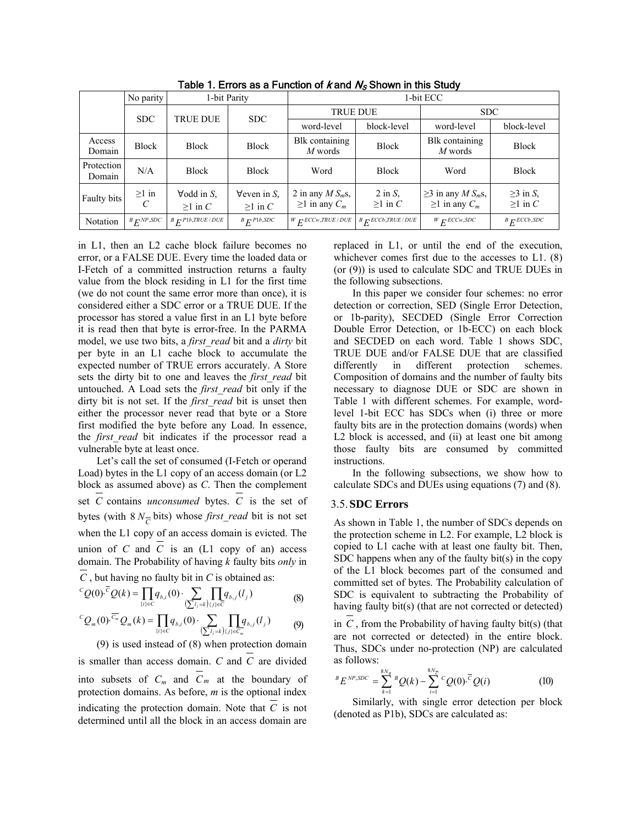|                      | No parity                 | 1-bit Parity                                 |                                             | 1-bit ECC                                      |                                                |                                                                    |                                 |  |
|----------------------|---------------------------|----------------------------------------------|---------------------------------------------|------------------------------------------------|------------------------------------------------|--------------------------------------------------------------------|---------------------------------|--|
|                      | <b>SDC</b>                | <b>TRUE DUE</b>                              | SDC.                                        | <b>TRUE DUE</b>                                |                                                | <b>SDC</b>                                                         |                                 |  |
|                      |                           |                                              |                                             | word-level                                     | block-level                                    | word-level                                                         | block-level                     |  |
| Access<br>Domain     | <b>Block</b>              | <b>Block</b>                                 | <b>Block</b>                                | Blk containing<br>$M$ words                    | <b>Block</b>                                   | Blk containing<br>$M$ words                                        | <b>Block</b>                    |  |
| Protection<br>Domain | N/A                       | <b>Block</b>                                 | <b>Block</b>                                | Word                                           | <b>Block</b>                                   | Word                                                               | <b>Block</b>                    |  |
| Faulty bits          | $\geq 1$ in<br>C          | $\forall$ odd in S.<br>$\geq 1$ in C         | $\forall$ even in S,<br>$\geq 1$ in C       | 2 in any $MS_m$ s,<br>$\geq 1$ in any $C_m$    | $2$ in $S$ ,<br>$\geq 1$ in C                  | $\geq$ 3 in any <i>M S<sub>m</sub>s</i> ,<br>$\geq 1$ in any $C_m$ | $\geq$ 3 in S,<br>$\geq 1$ in C |  |
| Notation             | $B$ <sub>E</sub> $NP,SDC$ | ${}^{B}E^{\scriptscriptstyle{P1b,TRUE/DUE}}$ | $B$ $F$ <sup><math>P1b</math></sup> , $SDC$ | $W$ <sub>F</sub> ECC <sub>w</sub> , TRUE / DUE | $B$ <sub>E</sub> ECC <sub>b</sub> , TRUE / DUE | $W$ <sub>F</sub> <sub>ECCw</sub> , SDC                             | $B$ $F$ ECCb, SDC               |  |

Table 1. Errors as a Function of  $k$  and  $N<sub>S</sub>$  Shown in this Study

in L1, then an L2 cache block failure becomes no error, or a FALSE DUE. Every time the loaded data or I-Fetch of a committed instruction returns a faulty value from the block residing in L1 for the first time (we do not count the same error more than once), it is considered either a SDC error or a TRUE DUE. If the processor has stored a value first in an L1 byte before it is read then that byte is error-free. In the PARMA model, we use two bits, a *first\_read* bit and a *dirty* bit per byte in an L1 cache block to accumulate the expected number of TRUE errors accurately. A Store sets the dirty bit to one and leaves the *first read* bit untouched. A Load sets the *first\_read* bit only if the dirty bit is not set. If the *first\_read* bit is unset then either the processor never read that byte or a Store first modified the byte before any Load. In essence, the *first read* bit indicates if the processor read a vulnerable byte at least once.

Let's call the set of consumed (I-Fetch or operand Load) bytes in the L1 copy of an access domain (or L2 block as assumed above) as *C*. Then the complement set *C* contains *unconsumed* bytes. *C* is the set of bytes (with  $8 N<sub>C</sub>$  bits) whose *first read* bit is not set when the L1 copy of an access domain is evicted. The union of *C* and  $\overline{C}$  is an (L1 copy of an) access domain. The Probability of having *k* faulty bits *only* in *C* , but having no faulty bit in *C* is obtained as:

$$
{}^{C}Q(0)^{\overline{C}}Q(k) = \prod_{\{i\} \in C} q_{b,i}(0) \cdot \sum_{\left(\sum l_j = k\right)\{j\} \in \overline{C}} q_{b,j}(l_j)
$$
(8)

$$
{}^{C}Q_{m}(0)\cdot \overline{C_{m}}Q_{m}(k) = \prod_{\{i\} \in C} q_{b,i}(0) \cdot \sum_{\left(\sum l_{j}=k\right)\{j\} \in C_{m}} \prod_{\{j\} \in C_{m}} q_{b,j}(l_{j}) \tag{9}
$$

(9) is used instead of (8) when protection domain is smaller than access domain. *C* and  $\overline{C}$  are divided into subsets of  $C_m$  and  $\overline{C}_m$  at the boundary of protection domains. As before, *m* is the optional index indicating the protection domain. Note that *C* is not determined until all the block in an access domain are

replaced in L1, or until the end of the execution, whichever comes first due to the accesses to L1. (8) (or (9)) is used to calculate SDC and TRUE DUEs in the following subsections.

In this paper we consider four schemes: no error detection or correction, SED (Single Error Detection, or 1b-parity), SECDED (Single Error Correction Double Error Detection, or 1b-ECC) on each block and SECDED on each word. Table 1 shows SDC, TRUE DUE and/or FALSE DUE that are classified differently in different protection schemes. Composition of domains and the number of faulty bits necessary to diagnose DUE or SDC are shown in Table 1 with different schemes. For example, wordlevel 1-bit ECC has SDCs when (i) three or more faulty bits are in the protection domains (words) when L<sub>2</sub> block is accessed, and (ii) at least one bit among those faulty bits are consumed by committed instructions.

In the following subsections, we show how to calculate SDCs and DUEs using equations (7) and (8).

### 3.5.**SDC Errors**

As shown in Table 1, the number of SDCs depends on the protection scheme in L2. For example, L2 block is copied to L1 cache with at least one faulty bit. Then, SDC happens when any of the faulty bit(s) in the copy of the L1 block becomes part of the consumed and committed set of bytes. The Probability calculation of SDC is equivalent to subtracting the Probability of having faulty bit(s) (that are not corrected or detected)

in *C* , from the Probability of having faulty bit(s) (that are not corrected or detected) in the entire block. Thus, SDCs under no-protection (NP) are calculated as follows:

$$
{}^{B}E^{NP,SDC} = \sum_{k=1}^{8N_B} {}^{B}Q(k) - \sum_{i=1}^{8N_{\overline{C}}} {}^{C}Q(0) \cdot {}^{\overline{C}}Q(i) \qquad (10)
$$

Similarly, with single error detection per block (denoted as P1b), SDCs are calculated as: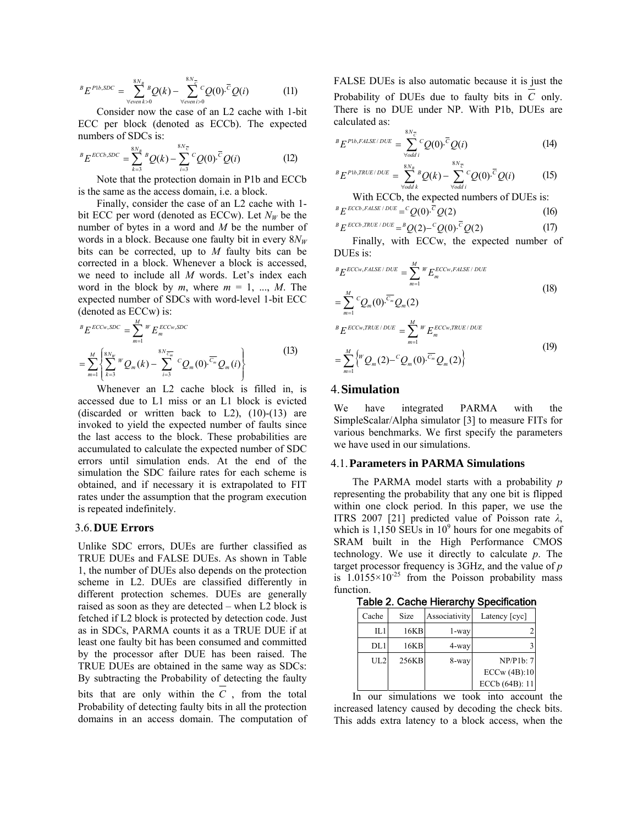$$
{}^{B}E^{P1b,SDC} = \sum_{\forall even \, k>0} {}^{8N_B} Q(k) - \sum_{\forall even \, i>0} {}^{8N_C} Q(0) \cdot {}^{\overline{C}} Q(i) \tag{11}
$$

Consider now the case of an L2 cache with 1-bit ECC per block (denoted as ECCb). The expected numbers of SDCs is:

$$
{}^{B}E^{ECCb,SDC} = \sum_{k=3}^{8N_{B}} {}^{B}Q(k) - \sum_{i=3}^{8N_{\overline{C}}} {}^{C}Q(0) \cdot {}^{\overline{C}}Q(i)
$$
 (12)

Note that the protection domain in P1b and ECCb is the same as the access domain, i.e. a block.

Finally, consider the case of an L2 cache with 1 bit ECC per word (denoted as ECCw). Let  $N_W$  be the number of bytes in a word and *M* be the number of words in a block. Because one faulty bit in every  $8N_W$ bits can be corrected, up to *M* faulty bits can be corrected in a block. Whenever a block is accessed, we need to include all *M* words. Let's index each word in the block by  $m$ , where  $m = 1, ..., M$ . The expected number of SDCs with word-level 1-bit ECC (denoted as ECCw) is:

$$
{}^{B}E^{ECCw,SDC} = \sum_{m=1}^{M} {}^{W}E_{m}^{ECCw,SDC}
$$
  
= 
$$
\sum_{m=1}^{M} \left\{ \sum_{k=3}^{8N_{W}} {}^{W}Q_{m}(k) - \sum_{i=3}^{8N_{C_{m}}} {}^{C}Q_{m}(0) \cdot \overline{C_{m}} Q_{m}(i) \right\}
$$
(13)

Whenever an L2 cache block is filled in, is accessed due to L1 miss or an L1 block is evicted (discarded or written back to  $L2$ ),  $(10)-(13)$  are invoked to yield the expected number of faults since the last access to the block. These probabilities are accumulated to calculate the expected number of SDC errors until simulation ends. At the end of the simulation the SDC failure rates for each scheme is obtained, and if necessary it is extrapolated to FIT rates under the assumption that the program execution is repeated indefinitely.

#### 3.6.**DUE Errors**

Unlike SDC errors, DUEs are further classified as TRUE DUEs and FALSE DUEs. As shown in Table 1, the number of DUEs also depends on the protection scheme in L2. DUEs are classified differently in different protection schemes. DUEs are generally raised as soon as they are detected – when L2 block is fetched if L2 block is protected by detection code. Just as in SDCs, PARMA counts it as a TRUE DUE if at least one faulty bit has been consumed and committed by the processor after DUE has been raised. The TRUE DUEs are obtained in the same way as SDCs: By subtracting the Probability of detecting the faulty bits that are only within the *C* , from the total Probability of detecting faulty bits in all the protection domains in an access domain. The computation of FALSE DUEs is also automatic because it is just the Probability of DUEs due to faulty bits in *C* only. There is no DUE under NP. With P1b, DUEs are calculated as:

$$
{}^{B}E^{P1b,FALSE/DUE} = \sum_{\forall odd i}^{8N_{\overline{C}}} {}^{C}Q(0)^{\overline{C}}Q(i)
$$
 (14)

$$
{}^{B}E^{P1b,TRUE/DUE} = \sum_{\forall odd \, k}^{8N_B} Q(k) - \sum_{\forall odd \, i}^{8N_{\overline{C}}} {}^{C}Q(0) \cdot {}^{\overline{C}}Q(i) \tag{15}
$$

With ECCb, the expected numbers of DUEs is:

$$
{}^{B}E^{ECCb, FALSE/DUE} = {}^{C}Q(0){}^{C}Q(2)
$$
 (16)

$$
{}^{B}E^{ECCb,TRUE/DUE} = {}^{B}Q(2)-{}^{C}Q(0){}^{C}Q(2)
$$
 (17)

Finally, with ECCw, the expected number of DUEs is:

$$
{}^{B}E^{ECCw, FALSE/DUE} = \sum_{m=1}^{M} {}^{W}E_{m}^{ECCw, FALSE/DUE}
$$
  
= 
$$
\sum_{m=1}^{M} {}^{C}Q_{m}(0) \cdot \overline{C_{m}}Q_{m}(2)
$$
 (18)

$$
{}^{m=1}_{B}E^{ECCw,TRUE/DUE} = \sum_{m=1}^{M} {}^{W}E_{m}^{ECCw,TRUE/DUE}
$$
  
= 
$$
\sum_{m=1}^{M} {}^{W}_{m}Q_{m}(2) - {}^{C}_{m}Q_{m}(0) \cdot {}^{\overline{C}_{m}}Q_{m}(2)
$$
 (19)

### 4.**Simulation**

We have integrated PARMA with the SimpleScalar/Alpha simulator [3] to measure FITs for various benchmarks. We first specify the parameters we have used in our simulations.

#### 4.1.**Parameters in PARMA Simulations**

The PARMA model starts with a probability *p* representing the probability that any one bit is flipped within one clock period. In this paper, we use the ITRS 2007 [21] predicted value of Poisson rate *λ*, which is  $1,150$  SEUs in  $10^9$  hours for one megabits of SRAM built in the High Performance CMOS technology. We use it directly to calculate *p*. The target processor frequency is 3GHz, and the value of *p* is  $1.0155 \times 10^{-25}$  from the Poisson probability mass function.

Table 2. Cache Hierarchy Specification

| Cache | Size  | Associativity | Latency [cyc]  |
|-------|-------|---------------|----------------|
| IL1   | 16KB  | 1-way         |                |
| DL1   | 16KB  | 4-way         |                |
| UL2   | 256KB | 8-way         | NP/P1b:7       |
|       |       |               | ECCw(4B):10    |
|       |       |               | ECCb (64B): 11 |

In our simulations we took into account the increased latency caused by decoding the check bits. This adds extra latency to a block access, when the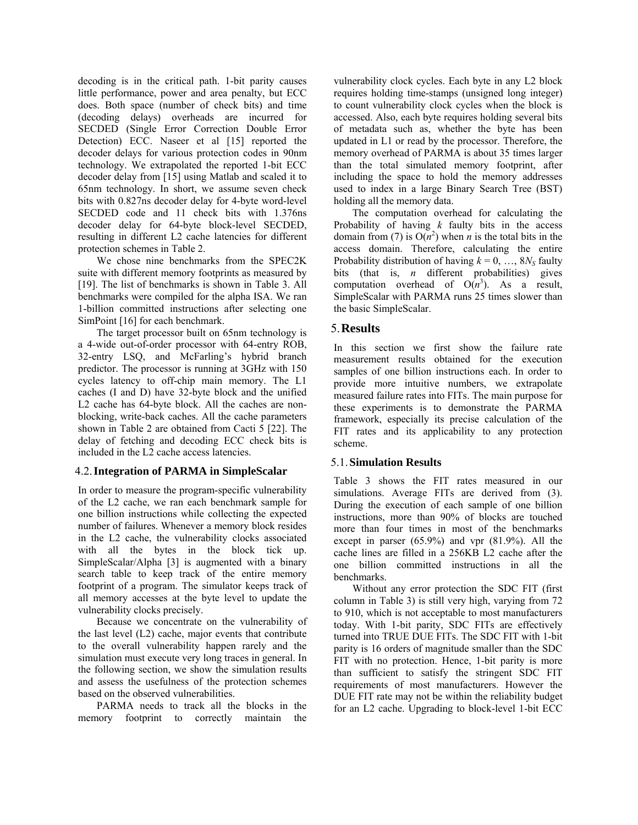decoding is in the critical path. 1-bit parity causes little performance, power and area penalty, but ECC does. Both space (number of check bits) and time (decoding delays) overheads are incurred for SECDED (Single Error Correction Double Error Detection) ECC. Naseer et al [15] reported the decoder delays for various protection codes in 90nm technology. We extrapolated the reported 1-bit ECC decoder delay from [15] using Matlab and scaled it to 65nm technology. In short, we assume seven check bits with 0.827ns decoder delay for 4-byte word-level SECDED code and 11 check bits with 1.376ns decoder delay for 64-byte block-level SECDED, resulting in different L2 cache latencies for different protection schemes in Table 2.

We chose nine benchmarks from the SPEC2K suite with different memory footprints as measured by [19]. The list of benchmarks is shown in Table 3. All benchmarks were compiled for the alpha ISA. We ran 1-billion committed instructions after selecting one SimPoint [16] for each benchmark.

The target processor built on 65nm technology is a 4-wide out-of-order processor with 64-entry ROB, 32-entry LSQ, and McFarling's hybrid branch predictor. The processor is running at 3GHz with 150 cycles latency to off-chip main memory. The L1 caches (I and D) have 32-byte block and the unified L2 cache has 64-byte block. All the caches are nonblocking, write-back caches. All the cache parameters shown in Table 2 are obtained from Cacti 5 [22]. The delay of fetching and decoding ECC check bits is included in the L2 cache access latencies.

### 4.2.**Integration of PARMA in SimpleScalar**

In order to measure the program-specific vulnerability of the L2 cache, we ran each benchmark sample for one billion instructions while collecting the expected number of failures. Whenever a memory block resides in the L2 cache, the vulnerability clocks associated with all the bytes in the block tick up. SimpleScalar/Alpha [3] is augmented with a binary search table to keep track of the entire memory footprint of a program. The simulator keeps track of all memory accesses at the byte level to update the vulnerability clocks precisely.

Because we concentrate on the vulnerability of the last level (L2) cache, major events that contribute to the overall vulnerability happen rarely and the simulation must execute very long traces in general. In the following section, we show the simulation results and assess the usefulness of the protection schemes based on the observed vulnerabilities.

PARMA needs to track all the blocks in the memory footprint to correctly maintain the vulnerability clock cycles. Each byte in any L2 block requires holding time-stamps (unsigned long integer) to count vulnerability clock cycles when the block is accessed. Also, each byte requires holding several bits of metadata such as, whether the byte has been updated in L1 or read by the processor. Therefore, the memory overhead of PARMA is about 35 times larger than the total simulated memory footprint, after including the space to hold the memory addresses used to index in a large Binary Search Tree (BST) holding all the memory data.

The computation overhead for calculating the Probability of having *k* faulty bits in the access domain from (7) is  $O(n^2)$  when *n* is the total bits in the access domain. Therefore, calculating the entire Probability distribution of having  $k = 0, \ldots, 8N_s$  faulty bits (that is, *n* different probabilities) gives computation overhead of  $O(n^3)$ . As a result, SimpleScalar with PARMA runs 25 times slower than the basic SimpleScalar.

## 5.**Results**

In this section we first show the failure rate measurement results obtained for the execution samples of one billion instructions each. In order to provide more intuitive numbers, we extrapolate measured failure rates into FITs. The main purpose for these experiments is to demonstrate the PARMA framework, especially its precise calculation of the FIT rates and its applicability to any protection scheme.

### 5.1.**Simulation Results**

Table 3 shows the FIT rates measured in our simulations. Average FITs are derived from (3). During the execution of each sample of one billion instructions, more than 90% of blocks are touched more than four times in most of the benchmarks except in parser (65.9%) and vpr (81.9%). All the cache lines are filled in a 256KB L2 cache after the one billion committed instructions in all the benchmarks.

Without any error protection the SDC FIT (first column in Table 3) is still very high, varying from 72 to 910, which is not acceptable to most manufacturers today. With 1-bit parity, SDC FITs are effectively turned into TRUE DUE FITs. The SDC FIT with 1-bit parity is 16 orders of magnitude smaller than the SDC FIT with no protection. Hence, 1-bit parity is more than sufficient to satisfy the stringent SDC FIT requirements of most manufacturers. However the DUE FIT rate may not be within the reliability budget for an L2 cache. Upgrading to block-level 1-bit ECC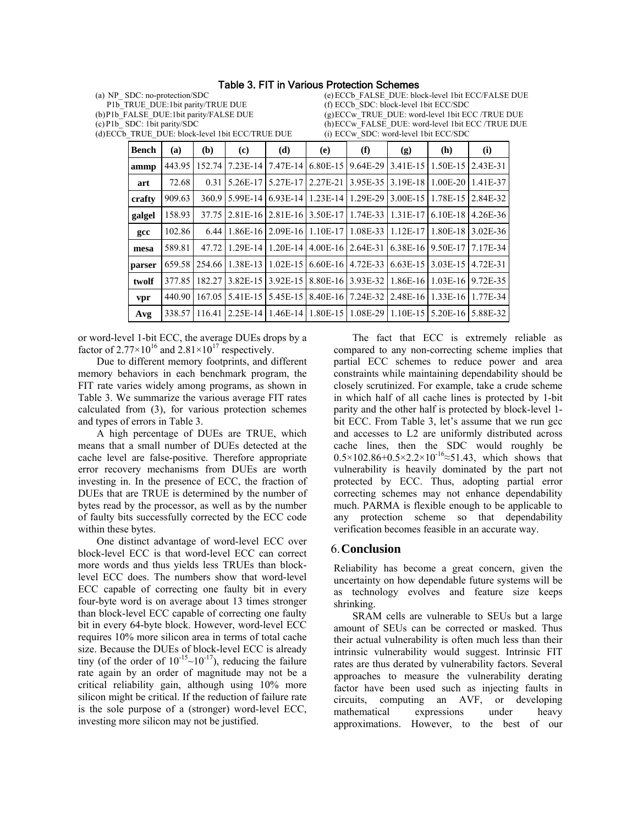#### Table 3. FIT in Various Protection Schemes

(a) NP\_ SDC: no-protection/SDC P1b\_TRUE\_DUE:1bit parity/TRUE DUE (b)P1b\_FALSE\_DUE:1bit parity/FALSE DUE (c) P1b\_ SDC: 1bit parity/SDC (d)ECCb\_TRUE\_DUE: block-level 1bit ECC/TRUE DUE (e)ECCb\_FALSE\_DUE: block-level 1bit ECC/FALSE DUE (f) ECCb\_SDC: block-level 1bit ECC/SDC (g)ECCw\_TRUE\_DUE: word-level 1bit ECC /TRUE DUE (h)ECCw\_FALSE\_DUE: word-level 1bit ECC /TRUE DUE (i) ECCw\_SDC: word-level 1bit ECC/SDC

| Bench  | (a)    | (b)    | (c)        | (d)        | (e)        | $\bf(f)$ | (g)        | (h)          | (i)      |
|--------|--------|--------|------------|------------|------------|----------|------------|--------------|----------|
| ammp   | 443.95 | 152.74 | 7.23E-14   | 7.47E-14   | $6.80E-15$ | 9.64E-29 | $3.41E-15$ | $1.50E-15$   | 2.43E-31 |
| art    | 72.68  | 0.31   | 5.26E-17   | 5.27E-17   | 2.27E-21   | 3.95E-35 | 3.19E-18   | $1.00E - 20$ | 1.41E-37 |
| crafty | 909.63 | 360.9  | 5.99E-14   | $6.93E-14$ | $1.23E-14$ | 1.29E-29 | 3.00E-15   | 1.78E-15     | 2.84E-32 |
| galgel | 158.93 | 37.75  | $2.81E-16$ | $2.81E-16$ | 3.50E-17   | 1.74E-33 | 1.31E-17   | $6.10E-18$   | 4.26E-36 |
| gcc    | 102.86 | 6.44   | 1.86E-16   | 2.09E-16   | 1.10E-17   | 1.08E-33 | 1.12E-17   | 1.80E-18     | 3.02E-36 |
| mesa   | 589.81 | 47.72  | 1 29E-14   | 1.20E-14   | $4.00E-16$ | 2.64E-31 | $6.38E-16$ | 9.50E-17     | 7.17E-34 |
| parser | 659.58 | 254.66 | 1.38E-13   | $1.02E-15$ | $6.60E-16$ | 4.72E-33 | $6.63E-15$ | 3.03E-15     | 4.72E-31 |
| twolf  | 377.85 | 182.27 | 3.82E-15   | 3.92E-15   | 8.80E-16   | 3.93E-32 | 1.86E-16   | $1.03E-16$   | 9.72E-35 |
| vpr    | 440.90 | 167.05 | 5.41E-15   | 5.45E-15   | 8.40E-16   | 7.24E-32 | $2.48E-16$ | $1.33E-16$   | 1.77E-34 |
| Avg    | 338.57 | 116.41 | 2.25E-14   | 1.46E-14   | 1.80E-15   | 1.08E-29 | 1.10E-15   | 5.20E-16     | 5.88E-32 |

or word-level 1-bit ECC, the average DUEs drops by a factor of  $2.77 \times 10^{16}$  and  $2.81 \times 10^{17}$  respectively.

Due to different memory footprints, and different memory behaviors in each benchmark program, the FIT rate varies widely among programs, as shown in Table 3. We summarize the various average FIT rates calculated from (3), for various protection schemes and types of errors in Table 3.

A high percentage of DUEs are TRUE, which means that a small number of DUEs detected at the cache level are false-positive. Therefore appropriate error recovery mechanisms from DUEs are worth investing in. In the presence of ECC, the fraction of DUEs that are TRUE is determined by the number of bytes read by the processor, as well as by the number of faulty bits successfully corrected by the ECC code within these bytes.

One distinct advantage of word-level ECC over block-level ECC is that word-level ECC can correct more words and thus yields less TRUEs than blocklevel ECC does. The numbers show that word-level ECC capable of correcting one faulty bit in every four-byte word is on average about 13 times stronger than block-level ECC capable of correcting one faulty bit in every 64-byte block. However, word-level ECC requires 10% more silicon area in terms of total cache size. Because the DUEs of block-level ECC is already tiny (of the order of  $10^{-15}$ ~ $10^{-17}$ ), reducing the failure rate again by an order of magnitude may not be a critical reliability gain, although using 10% more silicon might be critical. If the reduction of failure rate is the sole purpose of a (stronger) word-level ECC, investing more silicon may not be justified.

The fact that ECC is extremely reliable as compared to any non-correcting scheme implies that partial ECC schemes to reduce power and area constraints while maintaining dependability should be closely scrutinized. For example, take a crude scheme in which half of all cache lines is protected by 1-bit parity and the other half is protected by block-level 1 bit ECC. From Table 3, let's assume that we run gcc and accesses to L2 are uniformly distributed across cache lines, then the SDC would roughly be  $0.5 \times 102.86 + 0.5 \times 2.2 \times 10^{-16} \approx 51.43$ , which shows that vulnerability is heavily dominated by the part not protected by ECC. Thus, adopting partial error correcting schemes may not enhance dependability much. PARMA is flexible enough to be applicable to any protection scheme so that dependability verification becomes feasible in an accurate way.

#### 6.**Conclusion**

Reliability has become a great concern, given the uncertainty on how dependable future systems will be as technology evolves and feature size keeps shrinking.

SRAM cells are vulnerable to SEUs but a large amount of SEUs can be corrected or masked. Thus their actual vulnerability is often much less than their intrinsic vulnerability would suggest. Intrinsic FIT rates are thus derated by vulnerability factors. Several approaches to measure the vulnerability derating factor have been used such as injecting faults in circuits, computing an AVF, or developing mathematical expressions under heavy approximations. However, to the best of our